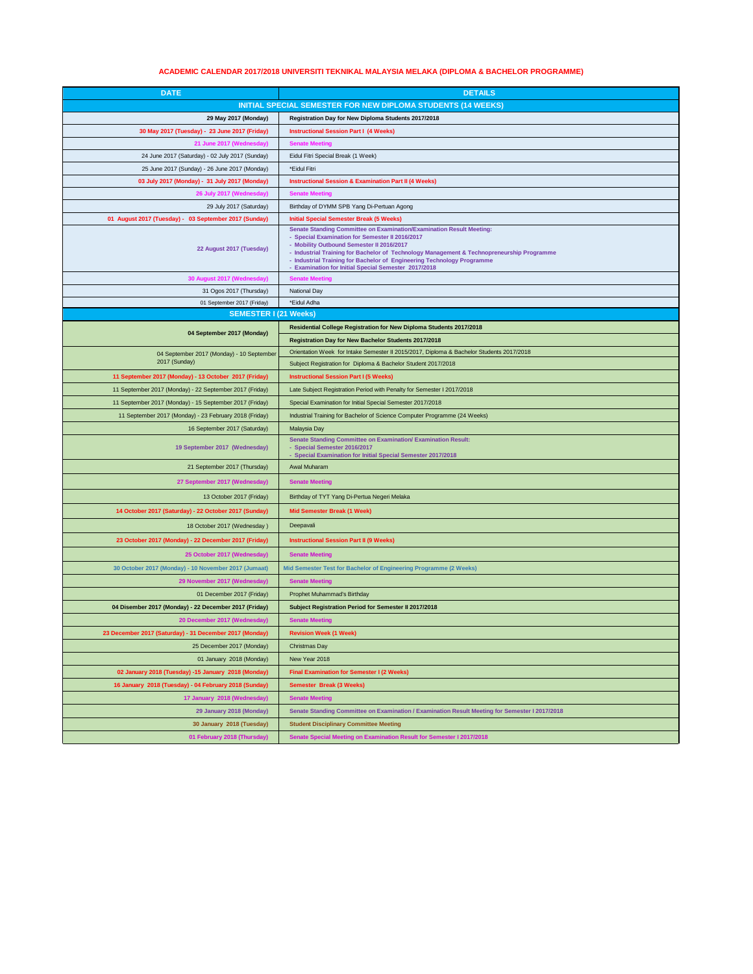## **ACADEMIC CALENDAR 2017/2018 UNIVERSITI TEKNIKAL MALAYSIA MELAKA (DIPLOMA & BACHELOR PROGRAMME)**

| <b>DATE</b>                                                         | <b>DETAILS</b>                                                                                                                                                                                                                                                                                                                                                                                           |
|---------------------------------------------------------------------|----------------------------------------------------------------------------------------------------------------------------------------------------------------------------------------------------------------------------------------------------------------------------------------------------------------------------------------------------------------------------------------------------------|
| <b>INITIAL SPECIAL SEMESTER FOR NEW DIPLOMA STUDENTS (14 WEEKS)</b> |                                                                                                                                                                                                                                                                                                                                                                                                          |
| 29 May 2017 (Monday)                                                | Registration Day for New Diploma Students 2017/2018                                                                                                                                                                                                                                                                                                                                                      |
| 30 May 2017 (Tuesday) - 23 June 2017 (Friday)                       | <b>Instructional Session Part I (4 Weeks)</b>                                                                                                                                                                                                                                                                                                                                                            |
| 21 June 2017 (Wednesday)                                            | <b>Senate Meeting</b>                                                                                                                                                                                                                                                                                                                                                                                    |
| 24 June 2017 (Saturday) - 02 July 2017 (Sunday)                     | Eidul Fitri Special Break (1 Week)                                                                                                                                                                                                                                                                                                                                                                       |
| 25 June 2017 (Sunday) - 26 June 2017 (Monday)                       | *Eidul Fitri                                                                                                                                                                                                                                                                                                                                                                                             |
| 03 July 2017 (Monday) - 31 July 2017 (Monday)                       | <b>Instructional Session &amp; Examination Part II (4 Weeks)</b>                                                                                                                                                                                                                                                                                                                                         |
| 26 July 2017 (Wednesday)                                            | <b>Senate Meeting</b>                                                                                                                                                                                                                                                                                                                                                                                    |
| 29 July 2017 (Saturday)                                             | Birthday of DYMM SPB Yang Di-Pertuan Agong                                                                                                                                                                                                                                                                                                                                                               |
| 01 August 2017 (Tuesday) - 03 September 2017 (Sunday)               | <b>Initial Special Semester Break (5 Weeks)</b>                                                                                                                                                                                                                                                                                                                                                          |
| 22 August 2017 (Tuesday)                                            | Senate Standing Committee on Examination/Examination Result Meeting:<br>- Special Examination for Semester II 2016/2017<br>- Mobility Outbound Semester II 2016/2017<br>- Industrial Training for Bachelor of Technology Management & Technopreneurship Programme<br>- Industrial Training for Bachelor of Engineering Technology Programme<br><b>Examination for Initial Special Semester 2017/2018</b> |
| 30 August 2017 (Wednesday)                                          | <b>Senate Meeting</b>                                                                                                                                                                                                                                                                                                                                                                                    |
| 31 Ogos 2017 (Thursday)                                             | National Day                                                                                                                                                                                                                                                                                                                                                                                             |
| 01 September 2017 (Friday)                                          | *Eidul Adha                                                                                                                                                                                                                                                                                                                                                                                              |
| <b>SEMESTER I (21 Weeks)</b>                                        |                                                                                                                                                                                                                                                                                                                                                                                                          |
| 04 September 2017 (Monday)                                          | Residential College Registration for New Diploma Students 2017/2018                                                                                                                                                                                                                                                                                                                                      |
|                                                                     | Registration Day for New Bachelor Students 2017/2018                                                                                                                                                                                                                                                                                                                                                     |
| 04 September 2017 (Monday) - 10 September                           | Orientation Week for Intake Semester II 2015/2017, Diploma & Bachelor Students 2017/2018                                                                                                                                                                                                                                                                                                                 |
| 2017 (Sunday)                                                       | Subject Registration for Diploma & Bachelor Student 2017/2018                                                                                                                                                                                                                                                                                                                                            |
| 11 September 2017 (Monday) - 13 October 2017 (Friday)               | <b>Instructional Session Part I (5 Weeks)</b>                                                                                                                                                                                                                                                                                                                                                            |
| 11 September 2017 (Monday) - 22 September 2017 (Friday)             | Late Subject Registration Period with Penalty for Semester I 2017/2018                                                                                                                                                                                                                                                                                                                                   |
| 11 September 2017 (Monday) - 15 September 2017 (Friday)             | Special Examination for Initial Special Semester 2017/2018                                                                                                                                                                                                                                                                                                                                               |
| 11 September 2017 (Monday) - 23 February 2018 (Friday)              | Industrial Training for Bachelor of Science Computer Programme (24 Weeks)                                                                                                                                                                                                                                                                                                                                |
| 16 September 2017 (Saturday)                                        | Malaysia Day                                                                                                                                                                                                                                                                                                                                                                                             |
| 19 September 2017 (Wednesday)                                       | <b>Senate Standing Committee on Examination/ Examination Result:</b><br>Special Semester 2016/2017<br>- Special Examination for Initial Special Semester 2017/2018                                                                                                                                                                                                                                       |
| 21 September 2017 (Thursday)                                        | Awal Muharam                                                                                                                                                                                                                                                                                                                                                                                             |
| 27 September 2017 (Wednesday)                                       | <b>Senate Meeting</b>                                                                                                                                                                                                                                                                                                                                                                                    |
| 13 October 2017 (Friday)                                            | Birthday of TYT Yang Di-Pertua Negeri Melaka                                                                                                                                                                                                                                                                                                                                                             |
| 14 October 2017 (Saturday) - 22 October 2017 (Sunday)               | Mid Semester Break (1 Week)                                                                                                                                                                                                                                                                                                                                                                              |
|                                                                     | Deepavali                                                                                                                                                                                                                                                                                                                                                                                                |
| 18 October 2017 (Wednesday)                                         |                                                                                                                                                                                                                                                                                                                                                                                                          |
| 23 October 2017 (Monday) - 22 December 2017 (Friday)                | <b>Instructional Session Part II (9 Weeks)</b>                                                                                                                                                                                                                                                                                                                                                           |
| 25 October 2017 (Wednesday)                                         | <b>Senate Meeting</b>                                                                                                                                                                                                                                                                                                                                                                                    |
| 30 October 2017 (Monday) - 10 November 2017 (Jumaat)                | Mid Semester Test for Bachelor of Engineering Programme (2 Weeks)                                                                                                                                                                                                                                                                                                                                        |
| 29 November 2017 (Wednesday)                                        | <b>Senate Meeting</b>                                                                                                                                                                                                                                                                                                                                                                                    |
| 01 December 2017 (Friday)                                           | Prophet Muhammad's Birthday                                                                                                                                                                                                                                                                                                                                                                              |
| 04 Disember 2017 (Monday) - 22 December 2017 (Friday)               | Subject Registration Period for Semester II 2017/2018                                                                                                                                                                                                                                                                                                                                                    |
| 20 December 2017 (Wednesday)                                        | <b>Senate Meeting</b>                                                                                                                                                                                                                                                                                                                                                                                    |
| 23 December 2017 (Saturday) - 31 December 2017 (Monday)             | <b>Revision Week (1 Week)</b>                                                                                                                                                                                                                                                                                                                                                                            |
| 25 December 2017 (Monday)                                           | Christmas Day                                                                                                                                                                                                                                                                                                                                                                                            |
| 01 January 2018 (Monday)                                            | New Year 2018                                                                                                                                                                                                                                                                                                                                                                                            |
| 02 January 2018 (Tuesday) -15 January 2018 (Monday)                 | Final Examination for Semester I (2 Weeks)                                                                                                                                                                                                                                                                                                                                                               |
| 16 January 2018 (Tuesday) - 04 February 2018 (Sunday)               | <b>Semester Break (3 Weeks)</b>                                                                                                                                                                                                                                                                                                                                                                          |
| 17 January 2018 (Wednesday)                                         | <b>Senate Meeting</b>                                                                                                                                                                                                                                                                                                                                                                                    |
| 29 January 2018 (Monday)                                            | Senate Standing Committee on Examination / Examination Result Meeting for Semester I 2017/2018                                                                                                                                                                                                                                                                                                           |
| 30 January 2018 (Tuesday)                                           | <b>Student Disciplinary Committee Meeting</b>                                                                                                                                                                                                                                                                                                                                                            |
| 01 February 2018 (Thursday)                                         | Senate Special Meeting on Examination Result for Semester I 2017/2018                                                                                                                                                                                                                                                                                                                                    |